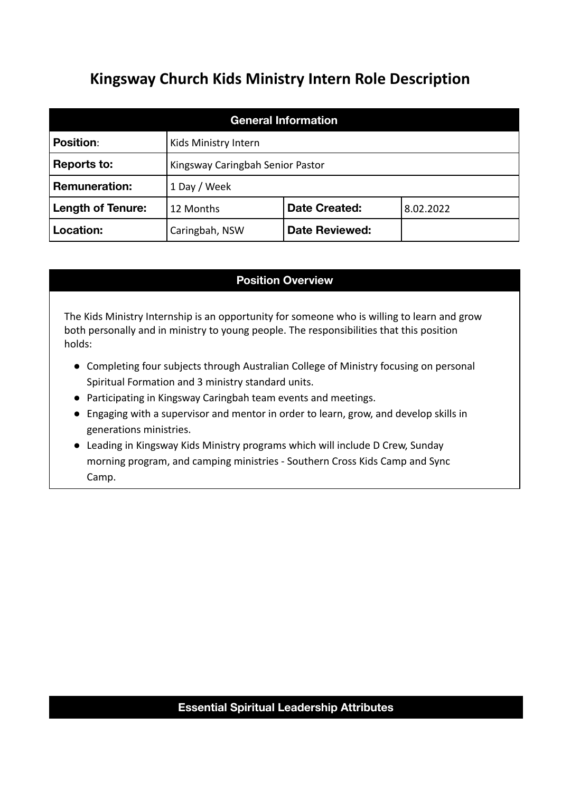# **Kingsway Church Kids Ministry Intern Role Description**

| <b>General Information</b> |                                  |                       |           |  |  |  |
|----------------------------|----------------------------------|-----------------------|-----------|--|--|--|
| <b>Position:</b>           | Kids Ministry Intern             |                       |           |  |  |  |
| <b>Reports to:</b>         | Kingsway Caringbah Senior Pastor |                       |           |  |  |  |
| <b>Remuneration:</b>       | 1 Day / Week                     |                       |           |  |  |  |
| <b>Length of Tenure:</b>   | 12 Months                        | <b>Date Created:</b>  | 8.02.2022 |  |  |  |
| Location:                  | Caringbah, NSW                   | <b>Date Reviewed:</b> |           |  |  |  |

## **Position Overview**

The Kids Ministry Internship is an opportunity for someone who is willing to learn and grow both personally and in ministry to young people. The responsibilities that this position holds:

- Completing four subjects through Australian College of Ministry focusing on personal Spiritual Formation and 3 ministry standard units.
- Participating in Kingsway Caringbah team events and meetings.
- Engaging with a supervisor and mentor in order to learn, grow, and develop skills in generations ministries.
- Leading in Kingsway Kids Ministry programs which will include D Crew, Sunday morning program, and camping ministries - Southern Cross Kids Camp and Sync Camp.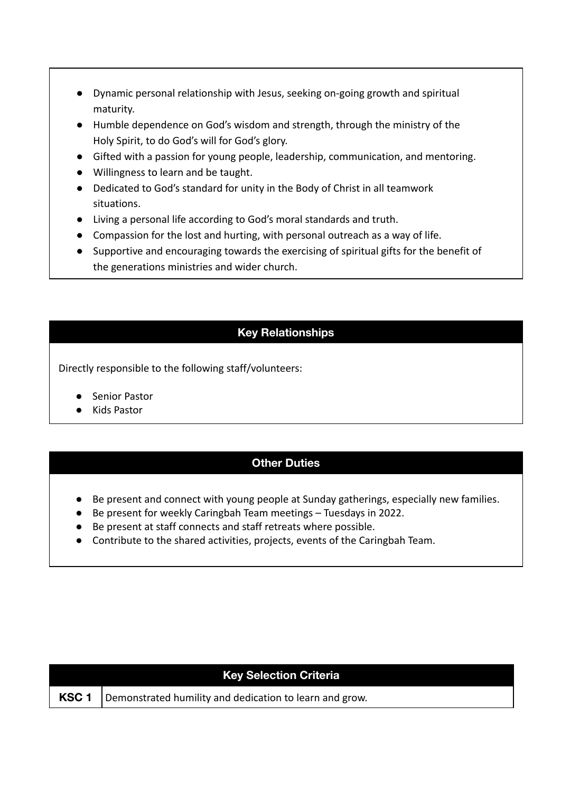- Dynamic personal relationship with Jesus, seeking on-going growth and spiritual maturity.
- Humble dependence on God's wisdom and strength, through the ministry of the Holy Spirit, to do God's will for God's glory.
- Gifted with a passion for young people, leadership, communication, and mentoring.
- Willingness to learn and be taught.
- Dedicated to God's standard for unity in the Body of Christ in all teamwork situations.
- Living a personal life according to God's moral standards and truth.
- Compassion for the lost and hurting, with personal outreach as a way of life.
- Supportive and encouraging towards the exercising of spiritual gifts for the benefit of the generations ministries and wider church.

# **Key Relationships**

Directly responsible to the following staff/volunteers:

- Senior Pastor
- Kids Pastor

# **Other Duties**

- Be present and connect with young people at Sunday gatherings, especially new families.
- Be present for weekly Caringbah Team meetings Tuesdays in 2022.
- Be present at staff connects and staff retreats where possible.
- Contribute to the shared activities, projects, events of the Caringbah Team.

| Key Selection Criteria |                                                         |  |  |  |
|------------------------|---------------------------------------------------------|--|--|--|
| KSC <sub>1</sub>       | Demonstrated humility and dedication to learn and grow. |  |  |  |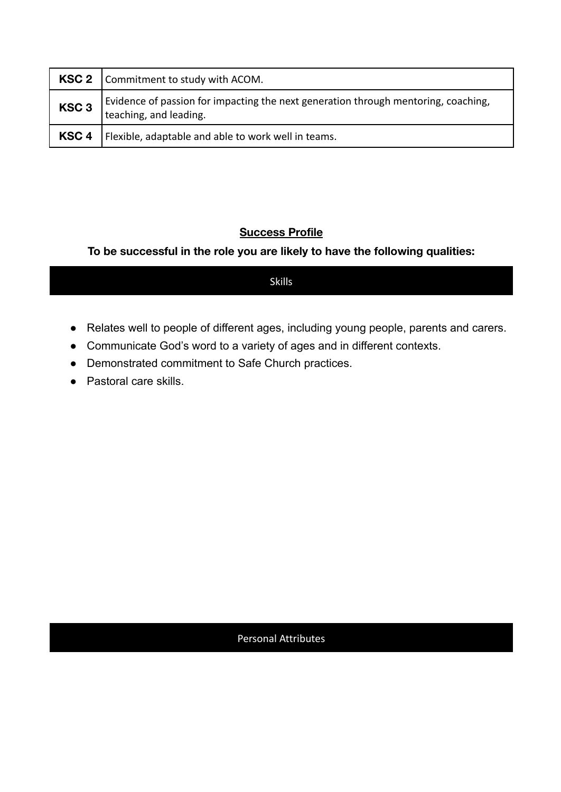|                  | KSC 2   Commitment to study with ACOM.                                                                       |
|------------------|--------------------------------------------------------------------------------------------------------------|
| KSC <sub>3</sub> | Evidence of passion for impacting the next generation through mentoring, coaching,<br>teaching, and leading. |
|                  | <b>KSC 4</b>   Flexible, adaptable and able to work well in teams.                                           |

## **Success Profile**

#### **To be successful in the role you are likely to have the following qualities:**

Skills

- Relates well to people of different ages, including young people, parents and carers.
- Communicate God's word to a variety of ages and in different contexts.
- Demonstrated commitment to Safe Church practices.
- Pastoral care skills.

#### Personal Attributes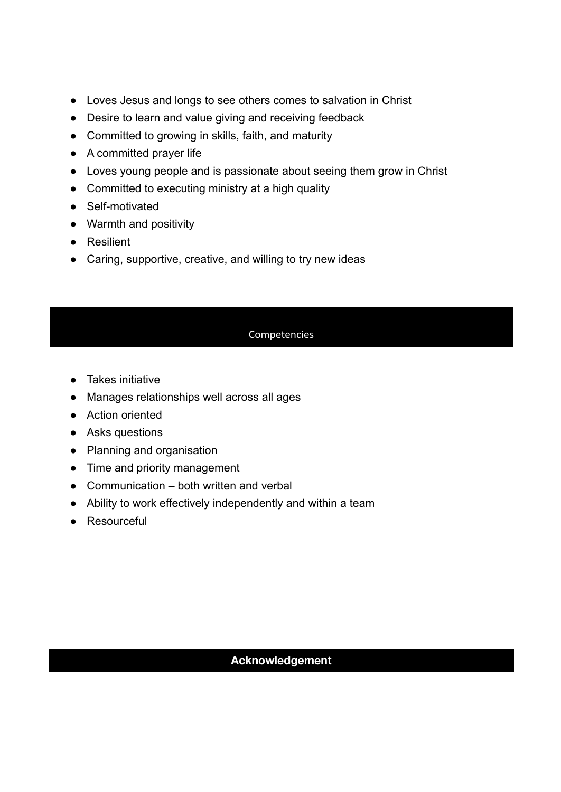- Loves Jesus and longs to see others comes to salvation in Christ
- Desire to learn and value giving and receiving feedback
- Committed to growing in skills, faith, and maturity
- A committed prayer life
- Loves young people and is passionate about seeing them grow in Christ
- Committed to executing ministry at a high quality
- Self-motivated
- Warmth and positivity
- Resilient
- Caring, supportive, creative, and willing to try new ideas

#### **Competencies**

- Takes initiative
- Manages relationships well across all ages
- Action oriented
- Asks questions
- Planning and organisation
- Time and priority management
- $\bullet$  Communication both written and verbal
- Ability to work effectively independently and within a team
- Resourceful

#### **Acknowledgement**